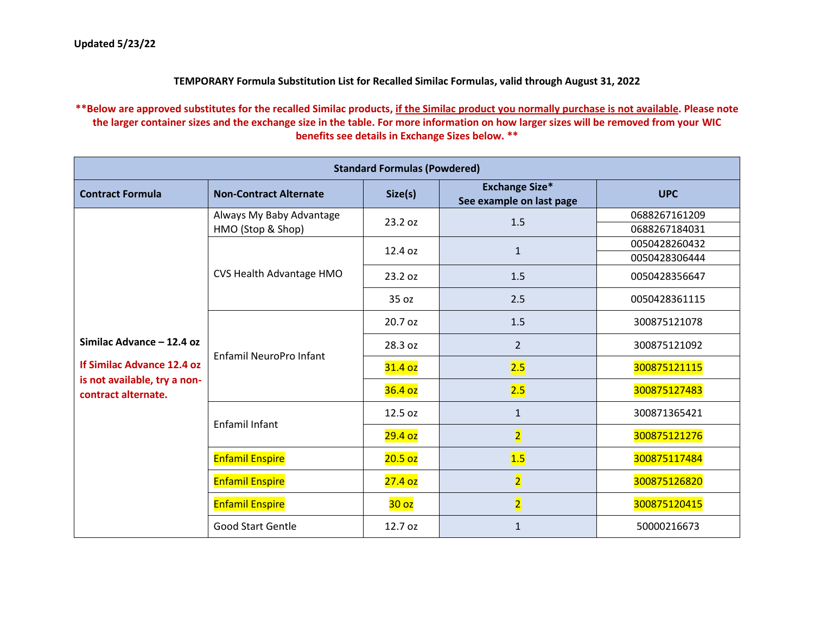## **TEMPORARY Formula Substitution List for Recalled Similac Formulas, valid through August 31, 2022**

**\*\*Below are approved substitutes for the recalled Similac products, if the Similac product you normally purchase is not available. Please note the larger container sizes and the exchange size in the table. For more information on how larger sizes will be removed from your WIC benefits see details in Exchange Sizes below. \*\***

| <b>Standard Formulas (Powdered)</b>                                                                            |                               |                    |                                                   |               |  |  |
|----------------------------------------------------------------------------------------------------------------|-------------------------------|--------------------|---------------------------------------------------|---------------|--|--|
| <b>Contract Formula</b>                                                                                        | <b>Non-Contract Alternate</b> | Size(s)            | <b>Exchange Size*</b><br>See example on last page | <b>UPC</b>    |  |  |
|                                                                                                                | Always My Baby Advantage      | 23.2 oz            | 1.5                                               | 0688267161209 |  |  |
|                                                                                                                | HMO (Stop & Shop)             |                    |                                                   | 0688267184031 |  |  |
|                                                                                                                |                               | 12.4 oz            | $\mathbf{1}$                                      | 0050428260432 |  |  |
|                                                                                                                |                               |                    |                                                   | 0050428306444 |  |  |
|                                                                                                                | CVS Health Advantage HMO      | 23.2 oz            | 1.5                                               | 0050428356647 |  |  |
|                                                                                                                |                               | 35 oz              | 2.5                                               | 0050428361115 |  |  |
|                                                                                                                | Enfamil NeuroPro Infant       | 20.7 oz            | 1.5                                               | 300875121078  |  |  |
| Similac Advance - 12.4 oz<br>If Similac Advance 12.4 oz<br>is not available, try a non-<br>contract alternate. |                               | 28.3 oz            | $\overline{2}$                                    | 300875121092  |  |  |
|                                                                                                                |                               | 31.4 oz            | 2.5                                               | 300875121115  |  |  |
|                                                                                                                |                               | 36.4 <sub>oz</sub> | 2.5                                               | 300875127483  |  |  |
|                                                                                                                | Enfamil Infant                | 12.5 oz            | $\mathbf{1}$                                      | 300871365421  |  |  |
|                                                                                                                |                               | 29.4 <sub>oz</sub> | $\overline{\mathbf{2}}$                           | 300875121276  |  |  |
|                                                                                                                | <b>Enfamil Enspire</b>        | 20.5 <sub>oz</sub> | 1.5                                               | 300875117484  |  |  |
|                                                                                                                | <b>Enfamil Enspire</b>        | 27.4 <sub>oz</sub> | $\overline{2}$                                    | 300875126820  |  |  |
|                                                                                                                | <b>Enfamil Enspire</b>        | 30 <sub>oz</sub>   | $\overline{2}$                                    | 300875120415  |  |  |
|                                                                                                                | <b>Good Start Gentle</b>      | 12.7 oz            | $\mathbf{1}$                                      | 50000216673   |  |  |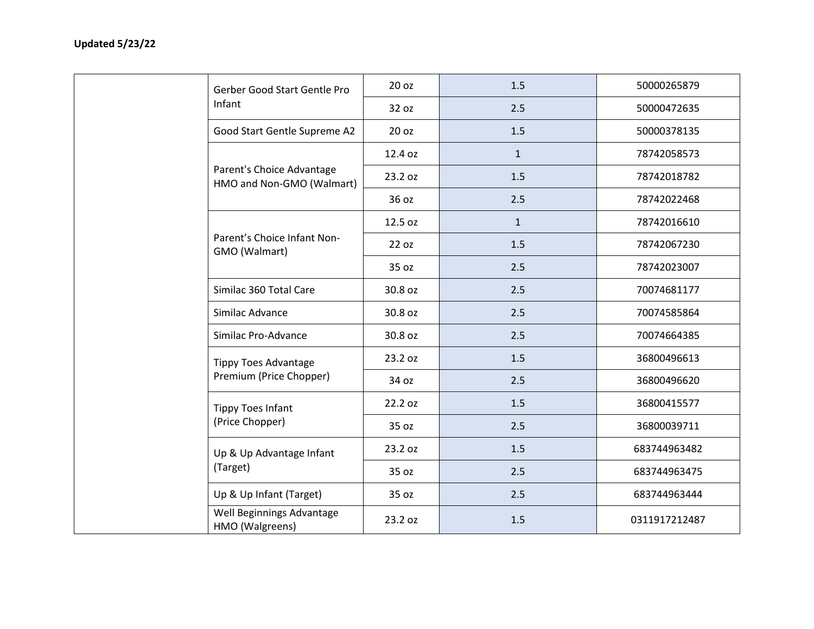|  | Gerber Good Start Gentle Pro                           | 20 oz   | 1.5          | 50000265879   |
|--|--------------------------------------------------------|---------|--------------|---------------|
|  | Infant                                                 | 32 oz   | 2.5          | 50000472635   |
|  | Good Start Gentle Supreme A2                           | 20 oz   | 1.5          | 50000378135   |
|  |                                                        | 12.4 oz | $\mathbf{1}$ | 78742058573   |
|  | Parent's Choice Advantage<br>HMO and Non-GMO (Walmart) | 23.2 oz | 1.5          | 78742018782   |
|  |                                                        | 36 oz   | 2.5          | 78742022468   |
|  |                                                        | 12.5 oz | $\mathbf{1}$ | 78742016610   |
|  | Parent's Choice Infant Non-<br>GMO (Walmart)           | 22 oz   | 1.5          | 78742067230   |
|  |                                                        | 35 oz   | 2.5          | 78742023007   |
|  | Similac 360 Total Care                                 | 30.8 oz | 2.5          | 70074681177   |
|  | Similac Advance                                        | 30.8 oz | 2.5          | 70074585864   |
|  | Similac Pro-Advance                                    | 30.8 oz | 2.5          | 70074664385   |
|  | <b>Tippy Toes Advantage</b>                            | 23.2 oz | 1.5          | 36800496613   |
|  | Premium (Price Chopper)                                | 34 oz   | 2.5          | 36800496620   |
|  | <b>Tippy Toes Infant</b>                               | 22.2 oz | 1.5          | 36800415577   |
|  | (Price Chopper)                                        | 35 oz   | 2.5          | 36800039711   |
|  | Up & Up Advantage Infant                               | 23.2 oz | 1.5          | 683744963482  |
|  | (Target)                                               | 35 oz   | 2.5          | 683744963475  |
|  | Up & Up Infant (Target)                                | 35 oz   | 2.5          | 683744963444  |
|  | Well Beginnings Advantage<br>HMO (Walgreens)           | 23.2 oz | 1.5          | 0311917212487 |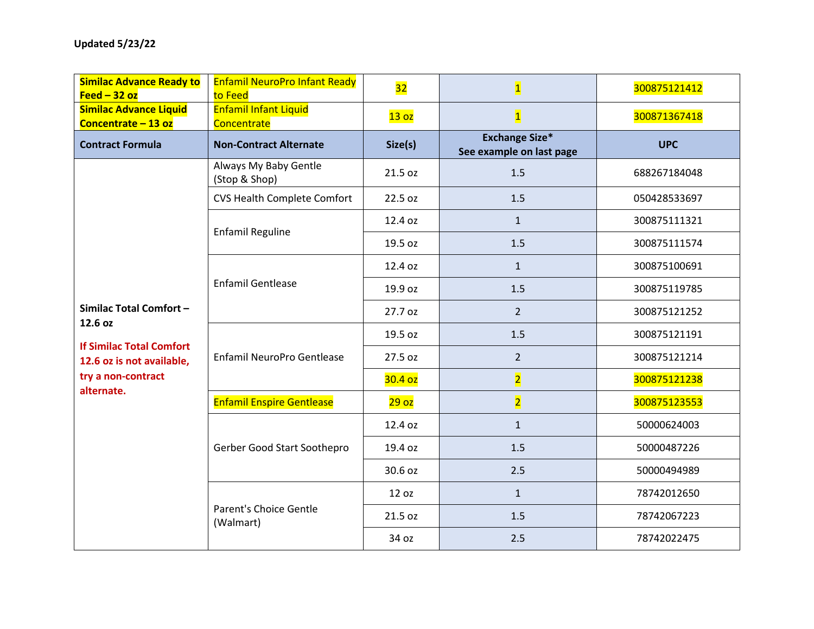| <b>Similac Advance Ready to</b><br>Feed $-32$ oz                                                                                      | <b>Enfamil NeuroPro Infant Ready</b><br>to Feed | 32                 | $\overline{\mathbf{1}}$                           | 300875121412 |  |
|---------------------------------------------------------------------------------------------------------------------------------------|-------------------------------------------------|--------------------|---------------------------------------------------|--------------|--|
| <b>Enfamil Infant Liquid</b><br><b>Similac Advance Liquid</b><br>Concentrate - 13 oz<br>Concentrate                                   |                                                 | 13 <sub>oz</sub>   | $\overline{\mathbf{1}}$                           | 300871367418 |  |
| <b>Contract Formula</b>                                                                                                               | <b>Non-Contract Alternate</b>                   | Size(s)            | <b>Exchange Size*</b><br>See example on last page | <b>UPC</b>   |  |
|                                                                                                                                       | Always My Baby Gentle<br>(Stop & Shop)          | 21.5 oz            | 1.5                                               | 688267184048 |  |
|                                                                                                                                       | <b>CVS Health Complete Comfort</b>              | 22.5 oz            | 1.5                                               | 050428533697 |  |
|                                                                                                                                       | <b>Enfamil Reguline</b>                         | 12.4 oz            | $\mathbf{1}$                                      | 300875111321 |  |
|                                                                                                                                       |                                                 | 19.5 oz            | 1.5                                               | 300875111574 |  |
|                                                                                                                                       |                                                 | 12.4 oz            | $\mathbf{1}$                                      | 300875100691 |  |
| Similac Total Comfort-<br>12.6 oz<br><b>If Similac Total Comfort</b><br>12.6 oz is not available,<br>try a non-contract<br>alternate. | <b>Enfamil Gentlease</b>                        | 19.9 oz            | 1.5                                               | 300875119785 |  |
|                                                                                                                                       |                                                 | 27.7 oz            | $\overline{2}$                                    | 300875121252 |  |
|                                                                                                                                       | Enfamil NeuroPro Gentlease                      | 19.5 oz            | 1.5                                               | 300875121191 |  |
|                                                                                                                                       |                                                 | 27.5 oz            | $\overline{2}$                                    | 300875121214 |  |
|                                                                                                                                       |                                                 | 30.4 <sub>oz</sub> | $\overline{\mathbf{2}}$                           | 300875121238 |  |
|                                                                                                                                       | <b>Enfamil Enspire Gentlease</b>                | 29 <sub>oz</sub>   | $\overline{\mathbf{2}}$                           | 300875123553 |  |
|                                                                                                                                       |                                                 | 12.4 oz            | $\mathbf{1}$                                      | 50000624003  |  |
|                                                                                                                                       | Gerber Good Start Soothepro                     | 19.4 oz            | 1.5                                               | 50000487226  |  |
|                                                                                                                                       |                                                 | 30.6 oz            | 2.5                                               | 50000494989  |  |
|                                                                                                                                       |                                                 | 12 oz              | $\mathbf{1}$                                      | 78742012650  |  |
|                                                                                                                                       | <b>Parent's Choice Gentle</b><br>(Walmart)      | 21.5 oz            | 1.5                                               | 78742067223  |  |
|                                                                                                                                       |                                                 | 34 oz              | 2.5                                               | 78742022475  |  |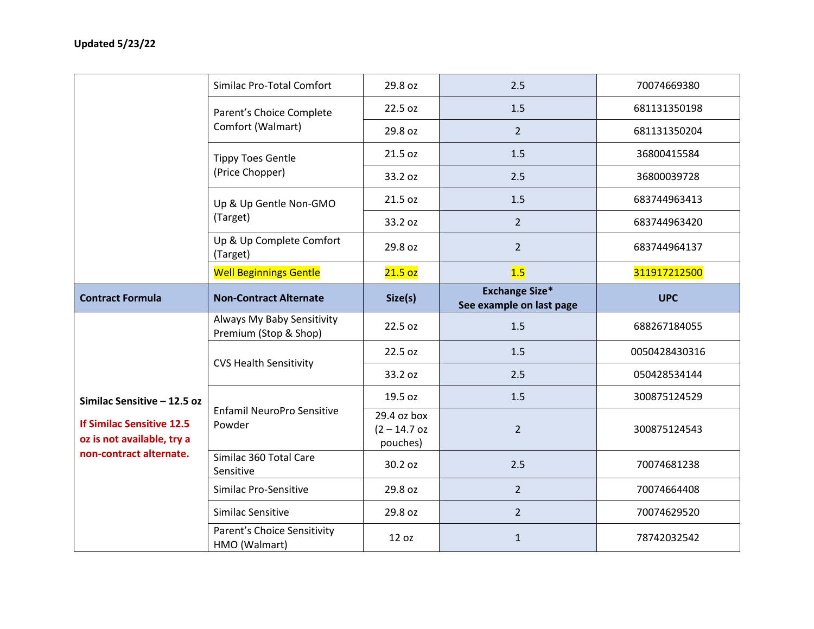|                                                                                                                          | Similac Pro-Total Comfort                           | 29.8 oz                                   | 2.5                                               | 70074669380   |  |
|--------------------------------------------------------------------------------------------------------------------------|-----------------------------------------------------|-------------------------------------------|---------------------------------------------------|---------------|--|
|                                                                                                                          | Parent's Choice Complete                            | 22.5 oz                                   | 1.5                                               | 681131350198  |  |
|                                                                                                                          | Comfort (Walmart)                                   | 29.8 oz                                   | $\overline{2}$                                    | 681131350204  |  |
|                                                                                                                          | <b>Tippy Toes Gentle</b>                            | 21.5 oz                                   | 1.5                                               | 36800415584   |  |
|                                                                                                                          | (Price Chopper)                                     | 33.2 oz                                   | 2.5                                               | 36800039728   |  |
|                                                                                                                          | Up & Up Gentle Non-GMO                              | 21.5 oz                                   | 1.5                                               | 683744963413  |  |
|                                                                                                                          | (Target)                                            | 33.2 oz                                   | $\overline{2}$                                    | 683744963420  |  |
|                                                                                                                          | Up & Up Complete Comfort<br>(Target)                | 29.8 oz                                   | $\overline{2}$                                    | 683744964137  |  |
|                                                                                                                          | <b>Well Beginnings Gentle</b>                       | 21.5 <sub>oz</sub>                        | 1.5                                               | 311917212500  |  |
| <b>Contract Formula</b>                                                                                                  | <b>Non-Contract Alternate</b>                       | Size(s)                                   | <b>Exchange Size*</b><br>See example on last page | <b>UPC</b>    |  |
|                                                                                                                          | Always My Baby Sensitivity<br>Premium (Stop & Shop) | 22.5 oz                                   | 1.5                                               | 688267184055  |  |
| Similac Sensitive - 12.5 oz<br><b>If Similac Sensitive 12.5</b><br>oz is not available, try a<br>non-contract alternate. | <b>CVS Health Sensitivity</b>                       | 22.5 oz                                   | 1.5                                               | 0050428430316 |  |
|                                                                                                                          |                                                     | 33.2 oz                                   | 2.5                                               | 050428534144  |  |
|                                                                                                                          |                                                     | 19.5 oz                                   | 1.5                                               | 300875124529  |  |
|                                                                                                                          | Enfamil NeuroPro Sensitive<br>Powder                | 29.4 oz box<br>$(2 - 14.7$ oz<br>pouches) | $\overline{2}$                                    | 300875124543  |  |
|                                                                                                                          | Similac 360 Total Care<br>Sensitive                 | 30.2 oz                                   | 2.5                                               | 70074681238   |  |
|                                                                                                                          | Similac Pro-Sensitive                               | 29.8 oz                                   | $\overline{2}$                                    | 70074664408   |  |
|                                                                                                                          | Similac Sensitive                                   | 29.8 oz                                   | $\overline{2}$                                    | 70074629520   |  |
|                                                                                                                          | Parent's Choice Sensitivity<br>HMO (Walmart)        | 12 oz                                     | $\mathbf{1}$                                      | 78742032542   |  |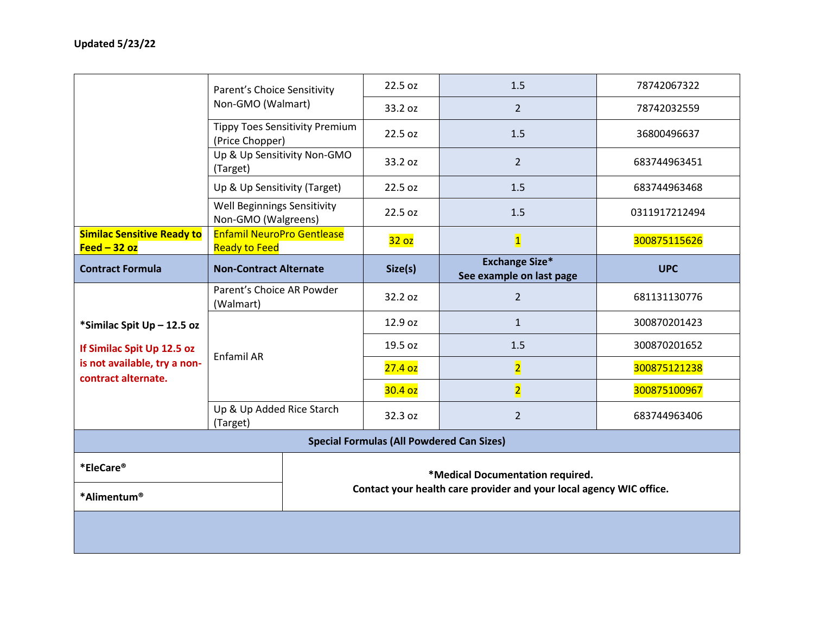|                                                     | Parent's Choice Sensitivity                               |                                  | 22.5 oz                                                             | 1.5                                               | 78742067322   |  |
|-----------------------------------------------------|-----------------------------------------------------------|----------------------------------|---------------------------------------------------------------------|---------------------------------------------------|---------------|--|
|                                                     | Non-GMO (Walmart)                                         |                                  | 33.2 oz                                                             | $\overline{2}$                                    | 78742032559   |  |
|                                                     | <b>Tippy Toes Sensitivity Premium</b><br>(Price Chopper)  |                                  | 22.5 oz                                                             | 1.5                                               | 36800496637   |  |
|                                                     | Up & Up Sensitivity Non-GMO<br>(Target)                   |                                  | 33.2 oz                                                             | $\overline{2}$                                    | 683744963451  |  |
|                                                     | Up & Up Sensitivity (Target)                              |                                  | 22.5 oz                                                             | 1.5                                               | 683744963468  |  |
|                                                     | Well Beginnings Sensitivity<br>Non-GMO (Walgreens)        |                                  | 22.5 oz                                                             | 1.5                                               | 0311917212494 |  |
| <b>Similac Sensitive Ready to</b><br>Feed $-32$ oz  | <b>Enfamil NeuroPro Gentlease</b><br><b>Ready to Feed</b> |                                  | 32 oz                                                               | $\overline{\mathbf{1}}$                           | 300875115626  |  |
| <b>Contract Formula</b>                             | <b>Non-Contract Alternate</b>                             |                                  | Size(s)                                                             | <b>Exchange Size*</b><br>See example on last page | <b>UPC</b>    |  |
|                                                     | Parent's Choice AR Powder<br>(Walmart)                    |                                  | 32.2 oz                                                             | $\overline{2}$                                    | 681131130776  |  |
| *Similac Spit Up - 12.5 oz                          |                                                           |                                  | 12.9 oz                                                             | $\mathbf{1}$                                      | 300870201423  |  |
| If Similac Spit Up 12.5 oz                          | Enfamil AR                                                |                                  | 19.5 oz                                                             | 1.5                                               | 300870201652  |  |
| is not available, try a non-<br>contract alternate. |                                                           |                                  | 27.4 <sub>oz</sub>                                                  | $\overline{2}$                                    | 300875121238  |  |
|                                                     |                                                           |                                  | 30.4 <sub>oz</sub>                                                  | $\overline{2}$                                    | 300875100967  |  |
|                                                     | Up & Up Added Rice Starch<br>(Target)                     |                                  | 32.3 oz                                                             | $\overline{2}$                                    | 683744963406  |  |
| <b>Special Formulas (All Powdered Can Sizes)</b>    |                                                           |                                  |                                                                     |                                                   |               |  |
| *EleCare®                                           |                                                           | *Medical Documentation required. |                                                                     |                                                   |               |  |
| *Alimentum®                                         |                                                           |                                  | Contact your health care provider and your local agency WIC office. |                                                   |               |  |
|                                                     |                                                           |                                  |                                                                     |                                                   |               |  |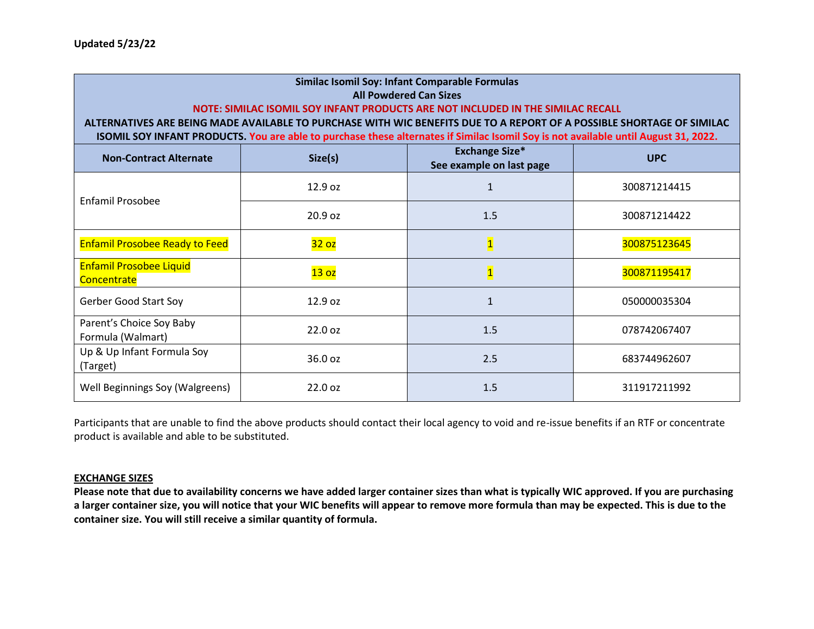| Similac Isomil Soy: Infant Comparable Formulas<br><b>All Powdered Can Sizes</b><br>NOTE: SIMILAC ISOMIL SOY INFANT PRODUCTS ARE NOT INCLUDED IN THE SIMILAC RECALL<br>ALTERNATIVES ARE BEING MADE AVAILABLE TO PURCHASE WITH WIC BENEFITS DUE TO A REPORT OF A POSSIBLE SHORTAGE OF SIMILAC<br>ISOMIL SOY INFANT PRODUCTS. You are able to purchase these alternates if Similac Isomil Soy is not available until August 31, 2022. |                                                                            |                         |              |  |  |  |  |  |
|------------------------------------------------------------------------------------------------------------------------------------------------------------------------------------------------------------------------------------------------------------------------------------------------------------------------------------------------------------------------------------------------------------------------------------|----------------------------------------------------------------------------|-------------------------|--------------|--|--|--|--|--|
| <b>Non-Contract Alternate</b>                                                                                                                                                                                                                                                                                                                                                                                                      | <b>Exchange Size*</b><br>Size(s)<br><b>UPC</b><br>See example on last page |                         |              |  |  |  |  |  |
| Enfamil Prosobee                                                                                                                                                                                                                                                                                                                                                                                                                   | 12.9 oz                                                                    | $\mathbf{1}$            | 300871214415 |  |  |  |  |  |
|                                                                                                                                                                                                                                                                                                                                                                                                                                    | 20.9 oz                                                                    | 1.5                     | 300871214422 |  |  |  |  |  |
| <b>Enfamil Prosobee Ready to Feed</b>                                                                                                                                                                                                                                                                                                                                                                                              | 32 oz                                                                      | $\overline{\mathbf{1}}$ | 300875123645 |  |  |  |  |  |
| <b>Enfamil Prosobee Liquid</b><br>Concentrate                                                                                                                                                                                                                                                                                                                                                                                      | 13 <sub>oz</sub>                                                           | $\overline{\mathbf{1}}$ | 300871195417 |  |  |  |  |  |
| <b>Gerber Good Start Soy</b>                                                                                                                                                                                                                                                                                                                                                                                                       | 12.9 oz                                                                    | $\mathbf{1}$            | 050000035304 |  |  |  |  |  |
| Parent's Choice Soy Baby<br>Formula (Walmart)                                                                                                                                                                                                                                                                                                                                                                                      | 22.0 oz                                                                    | 1.5                     | 078742067407 |  |  |  |  |  |
| Up & Up Infant Formula Soy<br>(Target)                                                                                                                                                                                                                                                                                                                                                                                             | 36.0 oz                                                                    | 2.5                     | 683744962607 |  |  |  |  |  |
| Well Beginnings Soy (Walgreens)                                                                                                                                                                                                                                                                                                                                                                                                    | 22.0 oz                                                                    | 1.5                     | 311917211992 |  |  |  |  |  |

Participants that are unable to find the above products should contact their local agency to void and re-issue benefits if an RTF or concentrate product is available and able to be substituted.

## **EXCHANGE SIZES**

**Please note that due to availability concerns we have added larger container sizes than what is typically WIC approved. If you are purchasing a larger container size, you will notice that your WIC benefits will appear to remove more formula than may be expected. This is due to the container size. You will still receive a similar quantity of formula.**